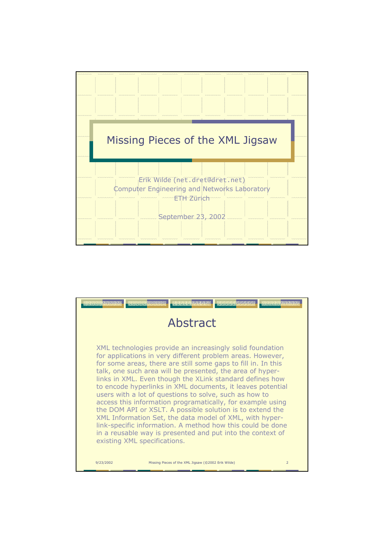

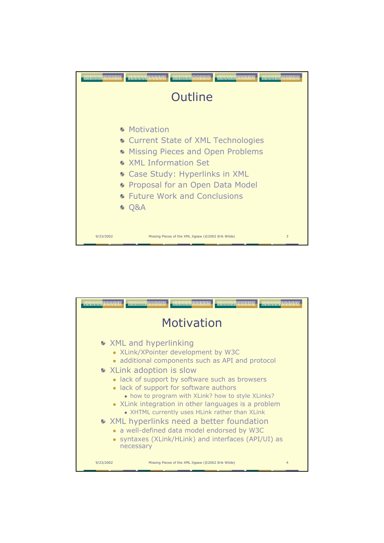

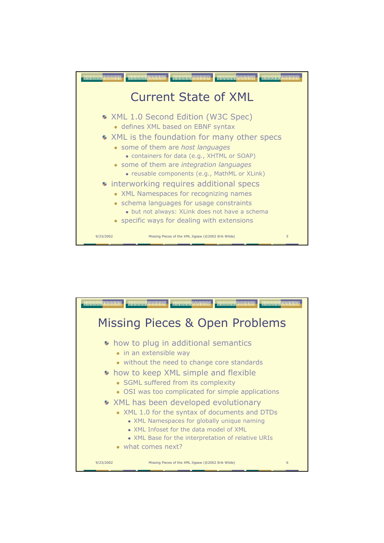

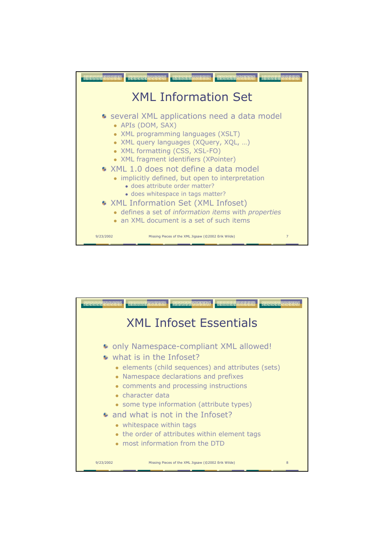

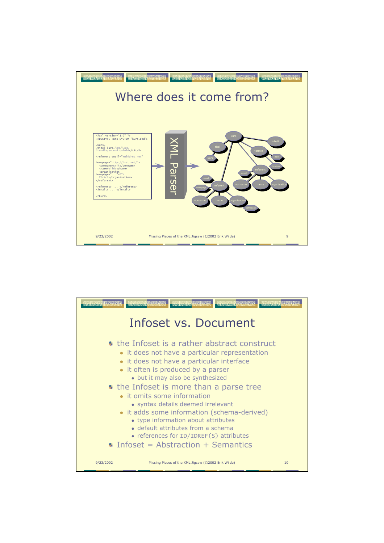

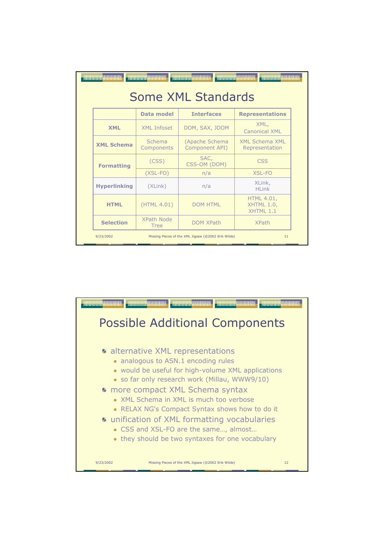| Argumentary arabitra<br>description des des d<br><b>CONSIGNATION</b><br>an an ana an ana<br><b>WebBergerade Cardio</b><br><b>Some XML Standards</b> |                                                           |                                  |                                                     |
|-----------------------------------------------------------------------------------------------------------------------------------------------------|-----------------------------------------------------------|----------------------------------|-----------------------------------------------------|
|                                                                                                                                                     | Data model                                                | <b>Interfaces</b>                | <b>Representations</b>                              |
| <b>XML</b>                                                                                                                                          | <b>XML Infoset</b>                                        | DOM, SAX, JDOM                   | XML,<br>Canonical XML                               |
| <b>XML Schema</b>                                                                                                                                   | Schema<br>Components                                      | (Apache Schema<br>Component API) | XMI Schema XMI<br>Representation                    |
| <b>Formatting</b>                                                                                                                                   | (CSS)                                                     | SAC,<br>CSS-OM (DOM)             | CSS                                                 |
|                                                                                                                                                     | $(XSL-FO)$                                                | n/a                              | XSL-FO                                              |
| <b>Hyperlinking</b>                                                                                                                                 | (XLink)                                                   | n/a                              | XLink,<br>HI ink                                    |
| <b>HTML</b>                                                                                                                                         | (HTML 4.01)                                               | <b>DOM HTML</b>                  | <b>HTML 4.01,</b><br>XHTML 1.0,<br><b>XHTMI 1.1</b> |
| <b>Selection</b>                                                                                                                                    | XPath Node<br><b>Tree</b>                                 | <b>DOM XPath</b>                 | <b>XPath</b>                                        |
| 9/23/2002                                                                                                                                           | Missing Pieces of the XML Jigsaw (@2002 Erik Wilde)<br>11 |                                  |                                                     |

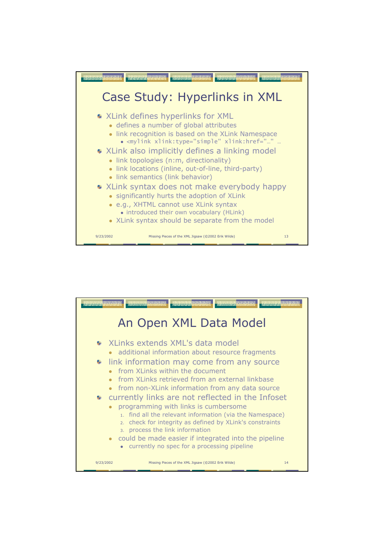

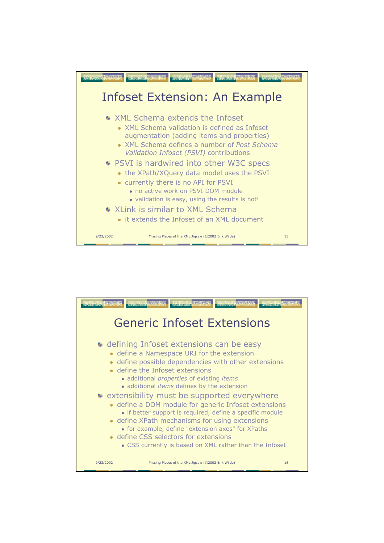

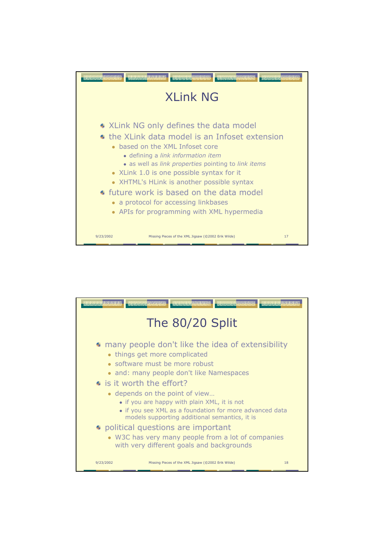